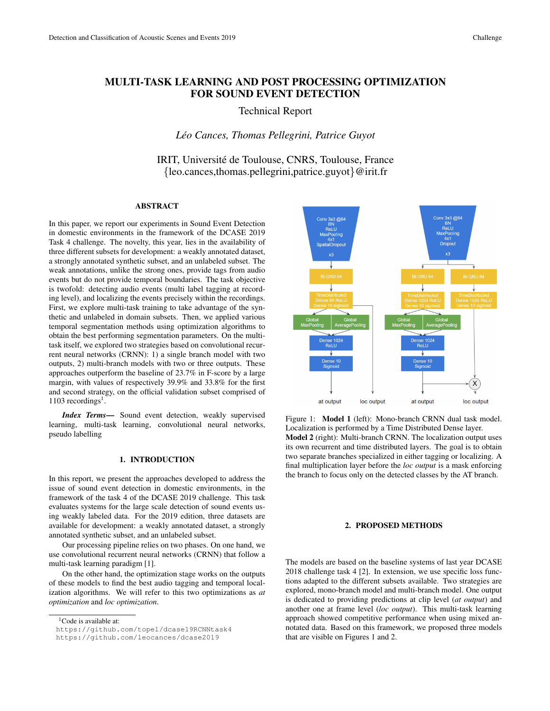# MULTI-TASK LEARNING AND POST PROCESSING OPTIMIZATION FOR SOUND EVENT DETECTION

# Technical Report

## *Leo Cances, Thomas Pellegrini, Patrice Guyot ´*

# IRIT, Université de Toulouse, CNRS, Toulouse, France {leo.cances,thomas.pellegrini,patrice.guyot}@irit.fr

## ABSTRACT

In this paper, we report our experiments in Sound Event Detection in domestic environments in the framework of the DCASE 2019 Task 4 challenge. The novelty, this year, lies in the availability of three different subsets for development: a weakly annotated dataset, a strongly annotated synthetic subset, and an unlabeled subset. The weak annotations, unlike the strong ones, provide tags from audio events but do not provide temporal boundaries. The task objective is twofold: detecting audio events (multi label tagging at recording level), and localizing the events precisely within the recordings. First, we explore multi-task training to take advantage of the synthetic and unlabeled in domain subsets. Then, we applied various temporal segmentation methods using optimization algorithms to obtain the best performing segmentation parameters. On the multitask itself, we explored two strategies based on convolutional recurrent neural networks (CRNN): 1) a single branch model with two outputs, 2) multi-branch models with two or three outputs. These approaches outperform the baseline of 23.7% in F-score by a large margin, with values of respectively 39.9% and 33.8% for the first and second strategy, on the official validation subset comprised of  $1103$  recordings<sup>1</sup>.

*Index Terms*— Sound event detection, weakly supervised learning, multi-task learning, convolutional neural networks, pseudo labelling

## 1. INTRODUCTION

In this report, we present the approaches developed to address the issue of sound event detection in domestic environments, in the framework of the task 4 of the DCASE 2019 challenge. This task evaluates systems for the large scale detection of sound events using weakly labeled data. For the 2019 edition, three datasets are available for development: a weakly annotated dataset, a strongly annotated synthetic subset, and an unlabeled subset.

Our processing pipeline relies on two phases. On one hand, we use convolutional recurrent neural networks (CRNN) that follow a multi-task learning paradigm [1].

On the other hand, the optimization stage works on the outputs of these models to find the best audio tagging and temporal localization algorithms. We will refer to this two optimizations as *at optimization* and *loc optimization*.



Figure 1: Model 1 (left): Mono-branch CRNN dual task model. Localization is performed by a Time Distributed Dense layer. Model 2 (right): Multi-branch CRNN. The localization output uses its own recurrent and time distributed layers. The goal is to obtain two separate branches specialized in either tagging or localizing. A final multiplication layer before the *loc output* is a mask enforcing the branch to focus only on the detected classes by the AT branch.

## 2. PROPOSED METHODS

The models are based on the baseline systems of last year DCASE 2018 challenge task 4 [2]. In extension, we use specific loss functions adapted to the different subsets available. Two strategies are explored, mono-branch model and multi-branch model. One output is dedicated to providing predictions at clip level (*at output*) and another one at frame level (*loc output*). This multi-task learning approach showed competitive performance when using mixed annotated data. Based on this framework, we proposed three models that are visible on Figures 1 and 2.

<sup>&</sup>lt;sup>1</sup>Code is available at:

https://github.com/topel/dcase19RCNNtask4

https://github.com/leocances/dcase2019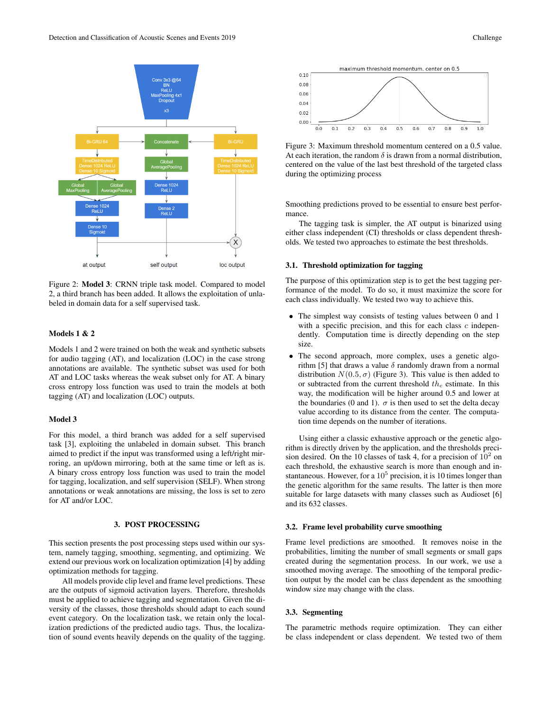

Figure 2: Model 3: CRNN triple task model. Compared to model 2, a third branch has been added. It allows the exploitation of unlabeled in domain data for a self supervised task.

#### Models 1 & 2

Models 1 and 2 were trained on both the weak and synthetic subsets for audio tagging (AT), and localization (LOC) in the case strong annotations are available. The synthetic subset was used for both AT and LOC tasks whereas the weak subset only for AT. A binary cross entropy loss function was used to train the models at both tagging (AT) and localization (LOC) outputs.

## Model 3

For this model, a third branch was added for a self supervised task [3], exploiting the unlabeled in domain subset. This branch aimed to predict if the input was transformed using a left/right mirroring, an up/down mirroring, both at the same time or left as is. A binary cross entropy loss function was used to train the model for tagging, localization, and self supervision (SELF). When strong annotations or weak annotations are missing, the loss is set to zero for AT and/or LOC.

## 3. POST PROCESSING

This section presents the post processing steps used within our system, namely tagging, smoothing, segmenting, and optimizing. We extend our previous work on localization optimization [4] by adding optimization methods for tagging.

All models provide clip level and frame level predictions. These are the outputs of sigmoid activation layers. Therefore, thresholds must be applied to achieve tagging and segmentation. Given the diversity of the classes, those thresholds should adapt to each sound event category. On the localization task, we retain only the localization predictions of the predicted audio tags. Thus, the localization of sound events heavily depends on the quality of the tagging.



Figure 3: Maximum threshold momentum centered on a 0.5 value. At each iteration, the random  $\delta$  is drawn from a normal distribution, centered on the value of the last best threshold of the targeted class during the optimizing process

Smoothing predictions proved to be essential to ensure best performance.

The tagging task is simpler, the AT output is binarized using either class independent (CI) thresholds or class dependent thresholds. We tested two approaches to estimate the best thresholds.

## 3.1. Threshold optimization for tagging

The purpose of this optimization step is to get the best tagging performance of the model. To do so, it must maximize the score for each class individually. We tested two way to achieve this.

- The simplest way consists of testing values between 0 and 1 with a specific precision, and this for each class  $c$  independently. Computation time is directly depending on the step size.
- The second approach, more complex, uses a genetic algorithm [5] that draws a value  $\delta$  randomly drawn from a normal distribution  $N(0.5, \sigma)$  (Figure 3). This value is then added to or subtracted from the current threshold  $th_c$  estimate. In this way, the modification will be higher around 0.5 and lower at the boundaries (0 and 1).  $\sigma$  is then used to set the delta decay value according to its distance from the center. The computation time depends on the number of iterations.

Using either a classic exhaustive approach or the genetic algorithm is directly driven by the application, and the thresholds precision desired. On the 10 classes of task 4, for a precision of  $10^2$  on each threshold, the exhaustive search is more than enough and instantaneous. However, for a  $10^5$  precision, it is 10 times longer than the genetic algorithm for the same results. The latter is then more suitable for large datasets with many classes such as Audioset [6] and its 632 classes.

#### 3.2. Frame level probability curve smoothing

Frame level predictions are smoothed. It removes noise in the probabilities, limiting the number of small segments or small gaps created during the segmentation process. In our work, we use a smoothed moving average. The smoothing of the temporal prediction output by the model can be class dependent as the smoothing window size may change with the class.

## 3.3. Segmenting

The parametric methods require optimization. They can either be class independent or class dependent. We tested two of them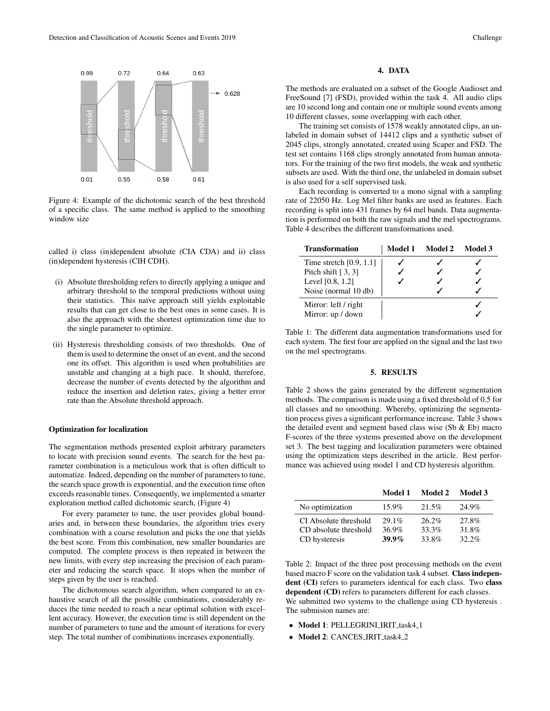

Figure 4: Example of the dichotomic search of the best threshold of a specific class. The same method is applied to the smoothing window size

called i) class (in)dependent absolute (CIA CDA) and ii) class (in)dependent hysteresis (CIH CDH).

- (i) Absolute thresholding refers to directly applying a unique and arbitrary threshold to the temporal predictions without using their statistics. This naïve approach still yields exploitable results that can get close to the best ones in some cases. It is also the approach with the shortest optimization time due to the single parameter to optimize.
- (ii) Hysteresis thresholding consists of two thresholds. One of them is used to determine the onset of an event, and the second one its offset. This algorithm is used when probabilities are unstable and changing at a high pace. It should, therefore, decrease the number of events detected by the algorithm and reduce the insertion and deletion rates, giving a better error rate than the Absolute threshold approach.

#### Optimization for localization

The segmentation methods presented exploit arbitrary parameters to locate with precision sound events. The search for the best parameter combination is a meticulous work that is often difficult to automatize. Indeed, depending on the number of parameters to tune, the search space growth is exponential, and the execution time often exceeds reasonable times. Consequently, we implemented a smarter exploration method called dichotomic search, (Figure 4)

For every parameter to tune, the user provides global boundaries and, in between these boundaries, the algorithm tries every combination with a coarse resolution and picks the one that yields the best score. From this combination, new smaller boundaries are computed. The complete process is then repeated in between the new limits, with every step increasing the precision of each parameter and reducing the search space. It stops when the number of steps given by the user is reached.

The dichotomous search algorithm, when compared to an exhaustive search of all the possible combinations, considerably reduces the time needed to reach a near optimal solution with excellent accuracy. However, the execution time is still dependent on the number of parameters to tune and the amount of iterations for every step. The total number of combinations increases exponentially.

## 4. DATA

The methods are evaluated on a subset of the Google Audioset and FreeSound [7] (FSD), provided within the task 4. All audio clips are 10 second long and contain one or multiple sound events among 10 different classes, some overlapping with each other.

The training set consists of 1578 weakly annotated clips, an unlabeled in domain subset of 14412 clips and a synthetic subset of 2045 clips, strongly annotated, created using Scaper and FSD. The test set contains 1168 clips strongly annotated from human annotators. For the training of the two first models, the weak and synthetic subsets are used. With the third one, the unlabeled in domain subset is also used for a self supervised task.

Each recording is converted to a mono signal with a sampling rate of 22050 Hz. Log Mel filter banks are used as features. Each recording is split into 431 frames by 64 mel bands. Data augmentation is performed on both the raw signals and the mel spectrograms. Table 4 describes the different transformations used.

| <b>Transformation</b>     | Model 1 Model 2 Model 3 |  |
|---------------------------|-------------------------|--|
| Time stretch $[0.9, 1.1]$ |                         |  |
| Pitch shift $[3, 3]$      |                         |  |
| Level $[0.8, 1.2]$        |                         |  |
| Noise (normal 10 db)      |                         |  |
| Mirror: left / right      |                         |  |
| Mirror: up / down         |                         |  |

Table 1: The different data augmentation transformations used for each system. The first four are applied on the signal and the last two on the mel spectrograms.

#### 5. RESULTS

Table 2 shows the gains generated by the different segmentation methods. The comparison is made using a fixed threshold of 0.5 for all classes and no smoothing. Whereby, optimizing the segmentation process gives a significant performance increase. Table 3 shows the detailed event and segment based class wise (Sb & Eb) macro F-scores of the three systems presented above on the development set 3. The best tagging and localization parameters were obtained using the optimization steps described in the article. Best performance was achieved using model 1 and CD hysteresis algorithm.

|                       | Model 1  | Model 2  | Model 3  |
|-----------------------|----------|----------|----------|
| No optimization       | $15.9\%$ | 21.5%    | 24.9%    |
| CI Absolute threshold | $29.1\%$ | $26.2\%$ | 27.8%    |
| CD absolute threshold | 36.9%    | 33.3%    | 31.8%    |
| CD hysteresis         | $39.9\%$ | 33.8%    | $32.2\%$ |

Table 2: Impact of the three post processing methods on the event based macro F score on the validation task 4 subset. Class independent (CI) refers to parameters identical for each class. Two class dependent (CD) refers to parameters different for each classes. We submitted two systems to the challenge using CD hysteresis . The submision names are:

- Model 1: PELLEGRINI\_IRIT\_task4\_1
- Model 2: CANCES\_IRIT\_task4\_2